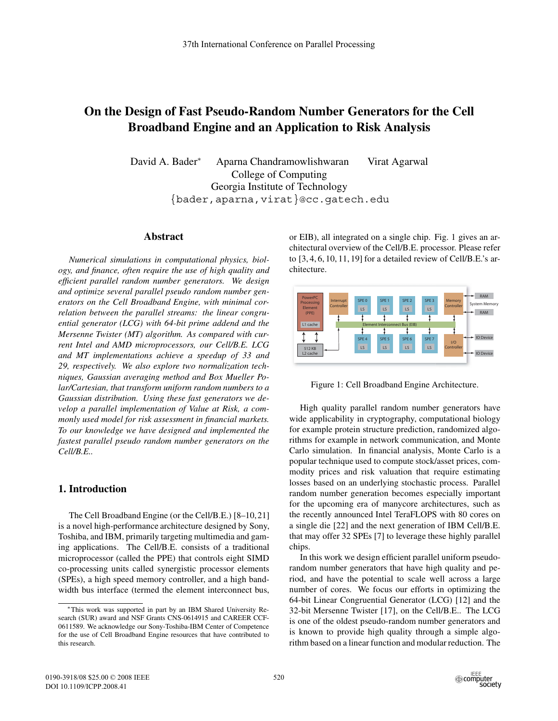# **On the Design of Fast Pseudo-Random Number Generators for the Cell Broadband Engine and an Application to Risk Analysis**

David A. Bader<sup>∗</sup> Aparna Chandramowlishwaran Virat Agarwal College of Computing Georgia Institute of Technology {bader,aparna,virat}@cc.gatech.edu

## **Abstract**

*Numerical simulations in computational physics, biology, and finance, often require the use of high quality and efficient parallel random number generators. We design and optimize several parallel pseudo random number generators on the Cell Broadband Engine, with minimal correlation between the parallel streams: the linear congruential generator (LCG) with 64-bit prime addend and the Mersenne Twister (MT) algorithm. As compared with current Intel and AMD microprocessors, our Cell/B.E. LCG and MT implementations achieve a speedup of 33 and 29, respectively. We also explore two normalization techniques, Gaussian averaging method and Box Mueller Polar/Cartesian, that transform uniform random numbers to a Gaussian distribution. Using these fast generators we develop a parallel implementation of Value at Risk, a commonly used model for risk assessment in financial markets. To our knowledge we have designed and implemented the fastest parallel pseudo random number generators on the Cell/B.E..*

## **1. Introduction**

The Cell Broadband Engine (or the Cell/B.E.) [8–10,21] is a novel high-performance architecture designed by Sony, Toshiba, and IBM, primarily targeting multimedia and gaming applications. The Cell/B.E. consists of a traditional microprocessor (called the PPE) that controls eight SIMD co-processing units called synergistic processor elements (SPEs), a high speed memory controller, and a high bandwidth bus interface (termed the element interconnect bus,

or EIB), all integrated on a single chip. Fig. 1 gives an architectural overview of the Cell/B.E. processor. Please refer to [3, 4, 6, 10, 11, 19] for a detailed review of Cell/B.E.'s architecture.



Figure 1: Cell Broadband Engine Architecture.

High quality parallel random number generators have wide applicability in cryptography, computational biology for example protein structure prediction, randomized algorithms for example in network communication, and Monte Carlo simulation. In financial analysis, Monte Carlo is a popular technique used to compute stock/asset prices, commodity prices and risk valuation that require estimating losses based on an underlying stochastic process. Parallel random number generation becomes especially important for the upcoming era of manycore architectures, such as the recently announced Intel TeraFLOPS with 80 cores on a single die [22] and the next generation of IBM Cell/B.E. that may offer 32 SPEs [7] to leverage these highly parallel chips.

In this work we design efficient parallel uniform pseudorandom number generators that have high quality and period, and have the potential to scale well across a large number of cores. We focus our efforts in optimizing the 64-bit Linear Congruential Generator (LCG) [12] and the 32-bit Mersenne Twister [17], on the Cell/B.E.. The LCG is one of the oldest pseudo-random number generators and is known to provide high quality through a simple algorithm based on a linear function and modular reduction. The

<sup>∗</sup>This work was supported in part by an IBM Shared University Research (SUR) award and NSF Grants CNS-0614915 and CAREER CCF-0611589. We acknowledge our Sony-Toshiba-IBM Center of Competence for the use of Cell Broadband Engine resources that have contributed to this research.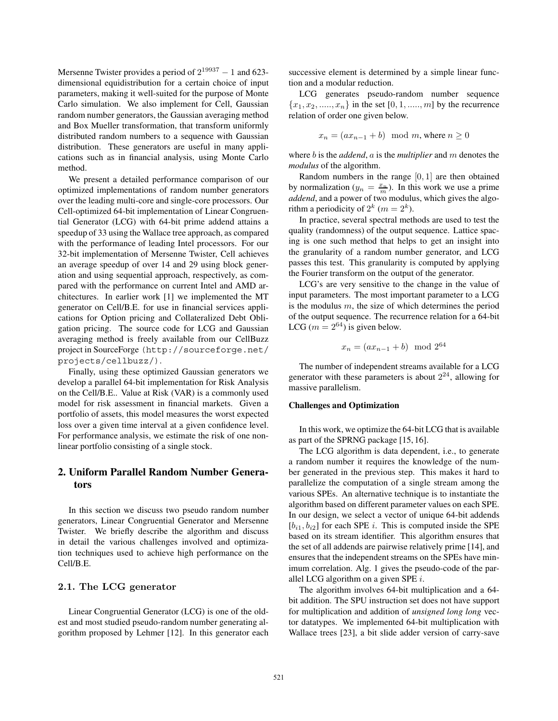Mersenne Twister provides a period of  $2^{19937} - 1$  and 623dimensional equidistribution for a certain choice of input parameters, making it well-suited for the purpose of Monte Carlo simulation. We also implement for Cell, Gaussian random number generators, the Gaussian averaging method and Box Mueller transformation, that transform uniformly distributed random numbers to a sequence with Gaussian distribution. These generators are useful in many applications such as in financial analysis, using Monte Carlo method.

We present a detailed performance comparison of our optimized implementations of random number generators over the leading multi-core and single-core processors. Our Cell-optimized 64-bit implementation of Linear Congruential Generator (LCG) with 64-bit prime addend attains a speedup of 33 using the Wallace tree approach, as compared with the performance of leading Intel processors. For our 32-bit implementation of Mersenne Twister, Cell achieves an average speedup of over 14 and 29 using block generation and using sequential approach, respectively, as compared with the performance on current Intel and AMD architectures. In earlier work [1] we implemented the MT generator on Cell/B.E. for use in financial services applications for Option pricing and Collateralized Debt Obligation pricing. The source code for LCG and Gaussian averaging method is freely available from our CellBuzz project in SourceForge (http://sourceforge.net/ projects/cellbuzz/).

Finally, using these optimized Gaussian generators we develop a parallel 64-bit implementation for Risk Analysis on the Cell/B.E.. Value at Risk (VAR) is a commonly used model for risk assessment in financial markets. Given a portfolio of assets, this model measures the worst expected loss over a given time interval at a given confidence level. For performance analysis, we estimate the risk of one nonlinear portfolio consisting of a single stock.

## **2. Uniform Parallel Random Number Generators**

In this section we discuss two pseudo random number generators, Linear Congruential Generator and Mersenne Twister. We briefly describe the algorithm and discuss in detail the various challenges involved and optimization techniques used to achieve high performance on the Cell/B.E.

## **2.1. The LCG generator**

Linear Congruential Generator (LCG) is one of the oldest and most studied pseudo-random number generating algorithm proposed by Lehmer [12]. In this generator each successive element is determined by a simple linear function and a modular reduction.

LCG generates pseudo-random number sequence  ${x_1, x_2, \ldots, x_n}$  in the set [0, 1, ...., m] by the recurrence relation of order one given below.

$$
x_n = (ax_{n-1} + b) \mod m, \text{ where } n \ge 0
$$

where b is the *addend*, a is the *multiplier* and m denotes the *modulus* of the algorithm.

Random numbers in the range  $[0, 1]$  are then obtained by normalization  $(y_n = \frac{x_n}{m})$ . In this work we use a prime *addend* and a nower of two modulus, which gives the algo*addend*, and a power of two modulus, which gives the algorithm a periodicity of  $2^k$  ( $m = 2^k$ ).

In practice, several spectral methods are used to test the quality (randomness) of the output sequence. Lattice spacing is one such method that helps to get an insight into the granularity of a random number generator, and LCG passes this test. This granularity is computed by applying the Fourier transform on the output of the generator.

LCG's are very sensitive to the change in the value of input parameters. The most important parameter to a LCG is the modulus  $m$ , the size of which determines the period of the output sequence. The recurrence relation for a 64-bit LCG ( $m = 2^{64}$ ) is given below.

$$
x_n = (ax_{n-1} + b) \mod 2^{64}
$$

The number of independent streams available for a LCG generator with these parameters is about  $2^{24}$ , allowing for massive parallelism.

#### **Challenges and Optimization**

In this work, we optimize the 64-bit LCG that is available as part of the SPRNG package [15, 16].

The LCG algorithm is data dependent, i.e., to generate a random number it requires the knowledge of the number generated in the previous step. This makes it hard to parallelize the computation of a single stream among the various SPEs. An alternative technique is to instantiate the algorithm based on different parameter values on each SPE. In our design, we select a vector of unique 64-bit addends  $[b_{i1}, b_{i2}]$  for each SPE *i*. This is computed inside the SPE based on its stream identifier. This algorithm ensures that the set of all addends are pairwise relatively prime [14], and ensures that the independent streams on the SPEs have minimum correlation. Alg. 1 gives the pseudo-code of the parallel LCG algorithm on a given SPE  $i$ .

The algorithm involves 64-bit multiplication and a 64 bit addition. The SPU instruction set does not have support for multiplication and addition of *unsigned long long* vector datatypes. We implemented 64-bit multiplication with Wallace trees [23], a bit slide adder version of carry-save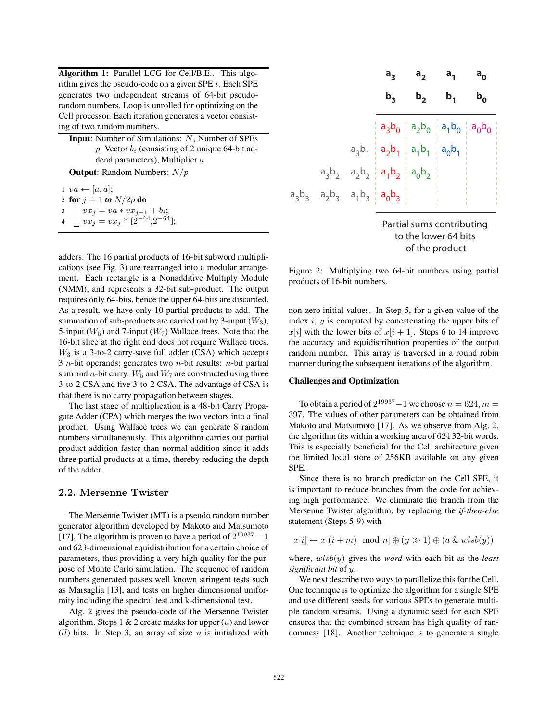**Algorithm 1:** Parallel LCG for Cell/B.E.. This algorithm gives the pseudo-code on a given SPE i. Each SPE generates two independent streams of 64-bit pseudorandom numbers. Loop is unrolled for optimizing on the Cell processor. Each iteration generates a vector consisting of two random numbers.

**Input**: Number of Simulations: N, Number of SPEs <sup>p</sup>, Vector <sup>b</sup>*<sup>i</sup>* (consisting of 2 unique 64-bit addend parameters), Multiplier a **Output**: Random Numbers: N/p

 $$  **for**  $j = 1$  *to*  $N/2p$  **do**   $vx_j = va * vx_{j-1} + b_i;$ <br>**4**  $vx_j = vx_* * [2^{-64} 2^{-64}]$  $\int vx_j = vx_j * [2^{-64}, 2^{-64}]$ ;

adders. The 16 partial products of 16-bit subword multiplications (see Fig. 3) are rearranged into a modular arrangement. Each rectangle is a Nonadditive Multiply Module (NMM), and represents a 32-bit sub-product. The output requires only 64-bits, hence the upper 64-bits are discarded. As a result, we have only 10 partial products to add. The summation of sub-products are carried out by 3-input  $(W_3)$ , 5-input  $(W_5)$  and 7-input  $(W_7)$  Wallace trees. Note that the 16-bit slice at the right end does not require Wallace trees.  $W_3$  is a 3-to-2 carry-save full adder (CSA) which accepts  $3$  *n*-bit operands; generates two *n*-bit results: *n*-bit partial sum and *n*-bit carry.  $W_5$  and  $W_7$  are constructed using three 3-to-2 CSA and five 3-to-2 CSA. The advantage of CSA is that there is no carry propagation between stages.

The last stage of multiplication is a 48-bit Carry Propagate Adder (CPA) which merges the two vectors into a final product. Using Wallace trees we can generate 8 random numbers simultaneously. This algorithm carries out partial product addition faster than normal addition since it adds three partial products at a time, thereby reducing the depth of the adder.

#### **2.2. Mersenne Twister**

The Mersenne Twister (MT) is a pseudo random number generator algorithm developed by Makoto and Matsumoto [17]. The algorithm is proven to have a period of  $2^{19937} - 1$ and 623-dimensional equidistribution for a certain choice of parameters, thus providing a very high quality for the purpose of Monte Carlo simulation. The sequence of random numbers generated passes well known stringent tests such as Marsaglia [13], and tests on higher dimensional uniformity including the spectral test and k-dimensional test.

Alg. 2 gives the pseudo-code of the Mersenne Twister algorithm. Steps 1  $& 2$  create masks for upper  $(u)$  and lower  $(11)$  bits. In Step 3, an array of size *n* is initialized with



Figure 2: Multiplying two 64-bit numbers using partial products of 16-bit numbers.

non-zero initial values. In Step 5, for a given value of the index  $i, y$  is computed by concatenating the upper bits of  $x[i]$  with the lower bits of  $x[i + 1]$ . Steps 6 to 14 improve the accuracy and equidistribution properties of the output random number. This array is traversed in a round robin manner during the subsequent iterations of the algorithm.

## **Challenges and Optimization**

To obtain a period of  $2^{19937} - 1$  we choose  $n = 624, m =$ 397. The values of other parameters can be obtained from Makoto and Matsumoto [17]. As we observe from Alg. 2, the algorithm fits within a working area of 624 32-bit words. This is especially beneficial for the Cell architecture given the limited local store of 256KB available on any given SPE.

Since there is no branch predictor on the Cell SPE, it is important to reduce branches from the code for achieving high performance. We eliminate the branch from the Mersenne Twister algorithm, by replacing the *if-then-else* statement (Steps 5-9) with

$$
x[i] \leftarrow x[(i+m) \mod n] \oplus (y \gg 1) \oplus (a \& wlsb(y))
$$

where, wlsb(y) gives the *word* with each bit as the *least significant bit* of y.

We next describe two ways to parallelize this for the Cell. One technique is to optimize the algorithm for a single SPE and use different seeds for various SPEs to generate multiple random streams. Using a dynamic seed for each SPE ensures that the combined stream has high quality of randomness [18]. Another technique is to generate a single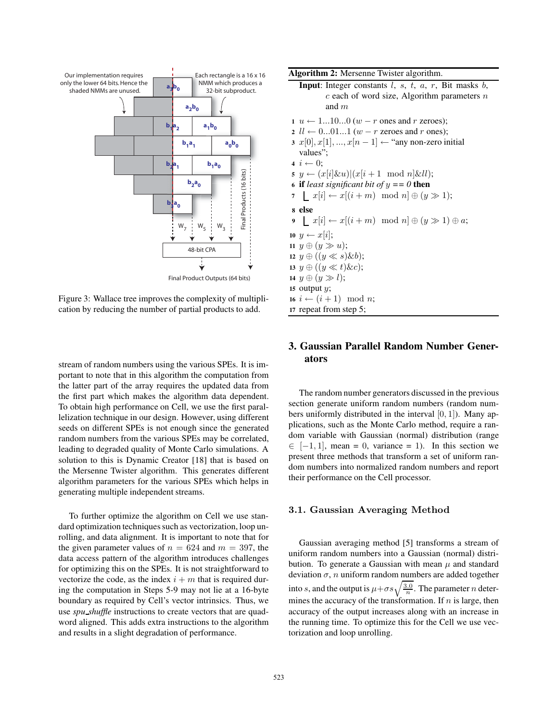

Figure 3: Wallace tree improves the complexity of multiplication by reducing the number of partial products to add.

stream of random numbers using the various SPEs. It is important to note that in this algorithm the computation from the latter part of the array requires the updated data from the first part which makes the algorithm data dependent. To obtain high performance on Cell, we use the first parallelization technique in our design. However, using different seeds on different SPEs is not enough since the generated random numbers from the various SPEs may be correlated, leading to degraded quality of Monte Carlo simulations. A solution to this is Dynamic Creator [18] that is based on the Mersenne Twister algorithm. This generates different algorithm parameters for the various SPEs which helps in generating multiple independent streams.

To further optimize the algorithm on Cell we use standard optimization techniques such as vectorization, loop unrolling, and data alignment. It is important to note that for the given parameter values of  $n = 624$  and  $m = 397$ , the data access pattern of the algorithm introduces challenges for optimizing this on the SPEs. It is not straightforward to vectorize the code, as the index  $i + m$  that is required during the computation in Steps 5-9 may not lie at a 16-byte boundary as required by Cell's vector intrinsics. Thus, we use *spu shuffle* instructions to create vectors that are quadword aligned. This adds extra instructions to the algorithm and results in a slight degradation of performance.

| Algorithm 2: Mersenne Twister algorithm.                                                                                                                                                             |
|------------------------------------------------------------------------------------------------------------------------------------------------------------------------------------------------------|
| <b>Input:</b> Integer constants $l$ , $s$ , $t$ , $a$ , $r$ , Bit masks $b$ ,<br>c each of word size, Algorithm parameters $n$<br>and $m$                                                            |
| $1 \ u \leftarrow 1100 \ (w - r \text{ ones and } r \text{ zeroes});$<br>2 $ll \leftarrow 0011$ $(w - r$ zeroes and r ones);<br>$x[0], x[1], , x[n-1] \leftarrow$ "any non-zero initial"<br>values": |
| $4\ i \leftarrow 0$ :<br>$\mathfrak{s} \ y \leftarrow (x[i] \& u)(x[i+1 \mod n] \& ll);$<br>6 if least significant bit of $y == 0$ then<br>7 $x[i] \leftarrow x[(i+m) \mod n] \oplus (y \gg 1);$     |
| s else<br>$\mathfrak{g} \mid x[i] \leftarrow x[(i+m) \mod n] \oplus (y \gg 1) \oplus a;$                                                                                                             |
| 10 $y \leftarrow x i $ ;<br>11 $y \oplus (y \gg u);$<br>12 $y \oplus ((y \ll s) \& b);$<br>13 $y \oplus ((y \ll t) \& c);$                                                                           |
| 14 $y \oplus (y \gg l);$<br>15 output $y$ ;<br>16 $i \leftarrow (i+1) \mod n;$                                                                                                                       |
| 17 repeat from step 5;                                                                                                                                                                               |

# **3. Gaussian Parallel Random Number Generators**

The random number generators discussed in the previous section generate uniform random numbers (random numbers uniformly distributed in the interval  $[0, 1]$ ). Many applications, such as the Monte Carlo method, require a random variable with Gaussian (normal) distribution (range  $\in$  [−1, 1], mean = 0, variance = 1). In this section we present three methods that transform a set of uniform random numbers into normalized random numbers and report their performance on the Cell processor.

## **3.1. Gaussian Averaging Method**

Gaussian averaging method [5] transforms a stream of uniform random numbers into a Gaussian (normal) distribution. To generate a Gaussian with mean  $\mu$  and standard deviation  $\sigma$ , *n* uniform random numbers are added together into s, and the output is  $\mu + \sigma s \sqrt{\frac{3.0}{n}}$ . The parameter *n* determines the accuracy of the transformation. If  $n$  is large, then accuracy of the output increases along with an increase in the running time. To optimize this for the Cell we use vectorization and loop unrolling.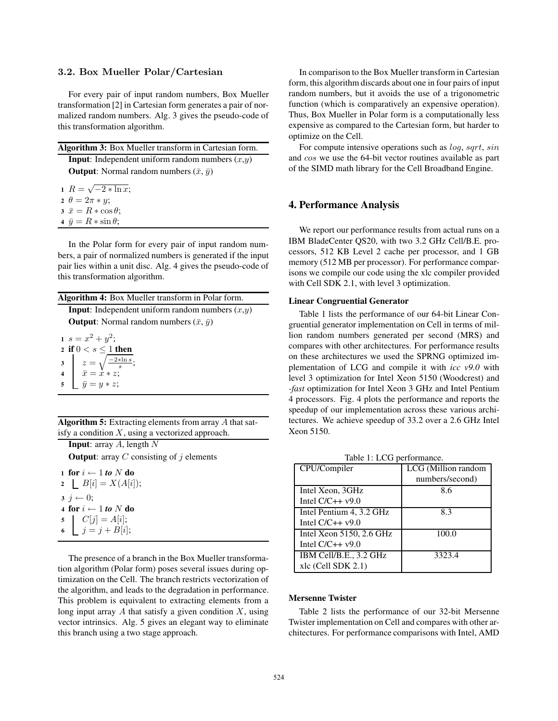#### **3.2. Box Mueller Polar/Cartesian**

For every pair of input random numbers, Box Mueller transformation [2] in Cartesian form generates a pair of normalized random numbers. Alg. 3 gives the pseudo-code of this transformation algorithm.

| <b>Algorithm 3:</b> Box Mueller transform in Cartesian form. |
|--------------------------------------------------------------|
| <b>Input:</b> Independent uniform random numbers $(x,y)$     |
| <b>Output:</b> Normal random numbers $(\bar{x}, \bar{y})$    |
| $R = \sqrt{-2 * \ln x}$                                      |

$$
A + R = \sqrt{-2} * \ln x
$$
  
\n
$$
2 \theta = 2\pi * y;
$$
  
\n
$$
3 \bar{x} = R * \cos \theta;
$$
  
\n
$$
4 \bar{y} = R * \sin \theta;
$$

In the Polar form for every pair of input random numbers, a pair of normalized numbers is generated if the input pair lies within a unit disc. Alg. 4 gives the pseudo-code of this transformation algorithm.

| Algorithm 4: Box Mueller transform in Polar form. |  |  |  |  |  |
|---------------------------------------------------|--|--|--|--|--|
|---------------------------------------------------|--|--|--|--|--|

**Input**: Independent uniform random numbers  $(x,y)$ **Output**: Normal random numbers  $(\bar{x}, \bar{y})$ 

1  $s = x^2 + y^2$ ; **2 if**  $0 < s \leq 1$  **then**<br>**3**  $z = \sqrt{\frac{-2 * \ln s}{n}}$  $\begin{array}{c|c}\nz & z = \sqrt{\frac{-2*\ln s}{s}}; \\
\hline\n\bar{x} = x * z:\n\end{array}$ **4**  $\bar{x} = x * z;$ <br> **5**  $\bar{y} = y * z;$  $\bar{y} = y * z;$ 

**Algorithm 5:** Extracting elements from array A that satisfy a condition  $X$ , using a vectorized approach.

**Input**: array A, length N **Output**: array  $C$  consisting of  $i$  elements

 **for**  $i \leftarrow 1$  **to**  $N$  **do**  |  $B[i] = X(A[i])$ ;  $\mathbf{3}$   $j \leftarrow 0$ ; **for**  $i \leftarrow 1$  *to* $N$  **<b>do**<br>**5 l**  $C[i] = A[i]$ :  $C[j] = A[i];$  $j = j + B[i];$ 

The presence of a branch in the Box Mueller transformation algorithm (Polar form) poses several issues during optimization on the Cell. The branch restricts vectorization of the algorithm, and leads to the degradation in performance. This problem is equivalent to extracting elements from a long input array  $A$  that satisfy a given condition  $X$ , using vector intrinsics. Alg. 5 gives an elegant way to eliminate this branch using a two stage approach.

In comparison to the Box Mueller transform in Cartesian form, this algorithm discards about one in four pairs of input random numbers, but it avoids the use of a trigonometric function (which is comparatively an expensive operation). Thus, Box Mueller in Polar form is a computationally less expensive as compared to the Cartesian form, but harder to optimize on the Cell.

For compute intensive operations such as  $log$ , sqrt, sin and cos we use the 64-bit vector routines available as part of the SIMD math library for the Cell Broadband Engine.

## **4. Performance Analysis**

We report our performance results from actual runs on a IBM BladeCenter QS20, with two 3.2 GHz Cell/B.E. processors, 512 KB Level 2 cache per processor, and 1 GB memory (512 MB per processor). For performance comparisons we compile our code using the xlc compiler provided with Cell SDK 2.1, with level 3 optimization.

## **Linear Congruential Generator**

Table 1 lists the performance of our 64-bit Linear Congruential generator implementation on Cell in terms of million random numbers generated per second (MRS) and compares with other architectures. For performance results on these architectures we used the SPRNG optimized implementation of LCG and compile it with *icc v9.0* with level 3 optimization for Intel Xeon 5150 (Woodcrest) and *-fast* optimization for Intel Xeon 3 GHz and Intel Pentium 4 processors. Fig. 4 plots the performance and reports the speedup of our implementation across these various architectures. We achieve speedup of 33.2 over a 2.6 GHz Intel Xeon 5150.

Table 1: LCG performance.

| CPU/Compiler             | LCG (Million random |
|--------------------------|---------------------|
|                          | numbers/second)     |
| Intel Xeon, 3GHz         | 8.6                 |
| Intel $C/C++v9.0$        |                     |
| Intel Pentium 4, 3.2 GHz | 8.3                 |
| Intel $C/C++v9.0$        |                     |
| Intel Xeon 5150, 2.6 GHz | 100.0               |
| Intel $C/C++v9.0$        |                     |
| IBM Cell/B.E., 3.2 GHz   | 3323.4              |
| $xlc$ (Cell SDK 2.1)     |                     |

#### **Mersenne Twister**

Table 2 lists the performance of our 32-bit Mersenne Twister implementation on Cell and compares with other architectures. For performance comparisons with Intel, AMD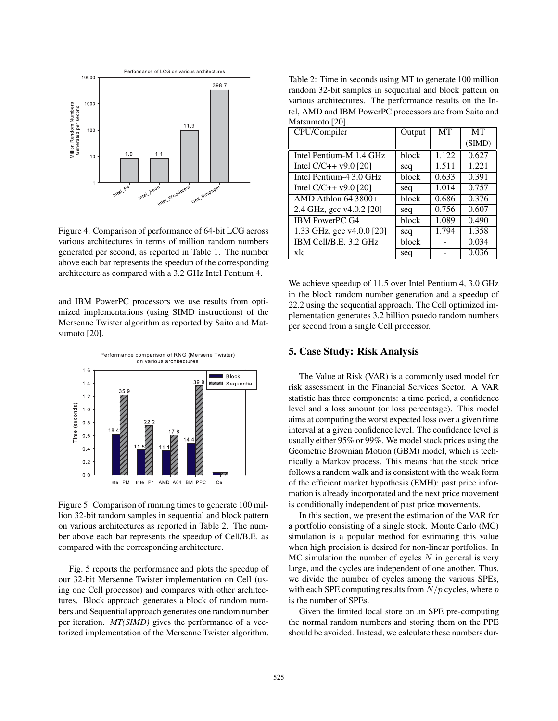

Figure 4: Comparison of performance of 64-bit LCG across various architectures in terms of million random numbers generated per second, as reported in Table 1. The number above each bar represents the speedup of the corresponding architecture as compared with a 3.2 GHz Intel Pentium 4.

and IBM PowerPC processors we use results from optimized implementations (using SIMD instructions) of the Mersenne Twister algorithm as reported by Saito and Matsumoto [20].



Figure 5: Comparison of running times to generate 100 million 32-bit random samples in sequential and block pattern on various architectures as reported in Table 2. The number above each bar represents the speedup of Cell/B.E. as compared with the corresponding architecture.

Fig. 5 reports the performance and plots the speedup of our 32-bit Mersenne Twister implementation on Cell (using one Cell processor) and compares with other architectures. Block approach generates a block of random numbers and Sequential approach generates one random number per iteration. *MT(SIMD)* gives the performance of a vectorized implementation of the Mersenne Twister algorithm.

Table 2: Time in seconds using MT to generate 100 million random 32-bit samples in sequential and block pattern on various architectures. The performance results on the Intel, AMD and IBM PowerPC processors are from Saito and Matsumoto [20].

| CPU/Compiler              | Output | MT                 | MT     |
|---------------------------|--------|--------------------|--------|
|                           |        |                    | (SIMD) |
| Intel Pentium-M 1.4 GHz   | block  | 1.122              | 0.627  |
| Intel $C/C++v9.0$ [20]    | seq    | 1.511              | 1.221  |
| Intel Pentium-4 3.0 GHz   | block  | 0.633              | 0.391  |
| Intel C/C++ $v9.0$ [20]   | seq    | 1.014              | 0.757  |
| AMD Athlon $64\,3800+$    | block  | 0.686              | 0.376  |
| 2.4 GHz, gcc v4.0.2 [20]  | seq    | $\overline{0.756}$ | 0.607  |
| IBM PowerPC G4            | block  | 1.089              | 0.490  |
| 1.33 GHz, gcc v4.0.0 [20] | seq    | 1.794              | 1.358  |
| IBM Cell/B.E. 3.2 GHz     | block  |                    | 0.034  |
| xlc                       | seq    |                    | 0.036  |

We achieve speedup of 11.5 over Intel Pentium 4, 3.0 GHz in the block random number generation and a speedup of 22.2 using the sequential approach. The Cell optimized implementation generates 3.2 billion psuedo random numbers per second from a single Cell processor.

## **5. Case Study: Risk Analysis**

The Value at Risk (VAR) is a commonly used model for risk assessment in the Financial Services Sector. A VAR statistic has three components: a time period, a confidence level and a loss amount (or loss percentage). This model aims at computing the worst expected loss over a given time interval at a given confidence level. The confidence level is usually either 95% or 99%. We model stock prices using the Geometric Brownian Motion (GBM) model, which is technically a Markov process. This means that the stock price follows a random walk and is consistent with the weak form of the efficient market hypothesis (EMH): past price information is already incorporated and the next price movement is conditionally independent of past price movements.

In this section, we present the estimation of the VAR for a portfolio consisting of a single stock. Monte Carlo (MC) simulation is a popular method for estimating this value when high precision is desired for non-linear portfolios. In MC simulation the number of cycles  $N$  in general is very large, and the cycles are independent of one another. Thus, we divide the number of cycles among the various SPEs, with each SPE computing results from  $N/p$  cycles, where  $p$ is the number of SPEs.

Given the limited local store on an SPE pre-computing the normal random numbers and storing them on the PPE should be avoided. Instead, we calculate these numbers dur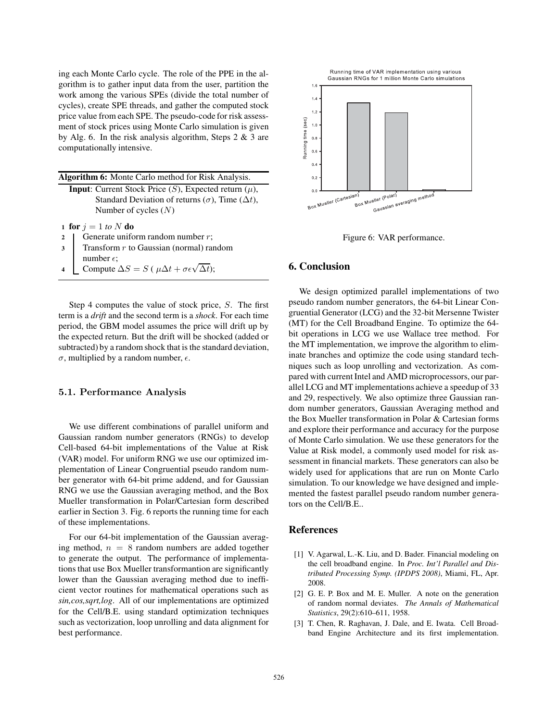ing each Monte Carlo cycle. The role of the PPE in the algorithm is to gather input data from the user, partition the work among the various SPEs (divide the total number of cycles), create SPE threads, and gather the computed stock price value from each SPE. The pseudo-code for risk assessment of stock prices using Monte Carlo simulation is given by Alg. 6. In the risk analysis algorithm, Steps  $2 \& 3$  are computationally intensive.

| <b>Algorithm 6:</b> Monte Carlo method for Risk Analysis.           |
|---------------------------------------------------------------------|
| <b>Input:</b> Current Stock Price $(S)$ , Expected return $(\mu)$ , |
| Standard Deviation of returns ( $\sigma$ ), Time ( $\Delta t$ ),    |
| Number of cycles $(N)$                                              |
| $\frac{1}{2}$ for $i = 1$ to N do.                                  |

**1 for**  $j = 1$  *to*  $N$  **do**<br>**2 1 Generate unifer** 

- 2 Generate uniform random number  $r$ ;<br>Transform  $r$  to Gaussian (normal) range
- **3** Transform r to Gaussian (normal) random number  $\epsilon$ :
- **4** Compute  $\Delta S = S$  ( $\mu \Delta t + \sigma \epsilon \sqrt{\Delta t}$ );

Step 4 computes the value of stock price, S. The first term is a *drift* and the second term is a *shock*. For each time period, the GBM model assumes the price will drift up by the expected return. But the drift will be shocked (added or subtracted) by a random shock that is the standard deviation, σ, multiplied by a random number,  $ε$ .

## **5.1. Performance Analysis**

We use different combinations of parallel uniform and Gaussian random number generators (RNGs) to develop Cell-based 64-bit implementations of the Value at Risk (VAR) model. For uniform RNG we use our optimized implementation of Linear Congruential pseudo random number generator with 64-bit prime addend, and for Gaussian RNG we use the Gaussian averaging method, and the Box Mueller transformation in Polar/Cartesian form described earlier in Section 3. Fig. 6 reports the running time for each of these implementations.

For our 64-bit implementation of the Gaussian averaging method,  $n = 8$  random numbers are added together to generate the output. The performance of implementations that use Box Mueller transformantion are significantly lower than the Gaussian averaging method due to inefficient vector routines for mathematical operations such as *sin,cos,sqrt,log*. All of our implementations are optimized for the Cell/B.E. using standard optimization techniques such as vectorization, loop unrolling and data alignment for best performance.



Figure 6: VAR performance.

#### **6. Conclusion**

We design optimized parallel implementations of two pseudo random number generators, the 64-bit Linear Congruential Generator (LCG) and the 32-bit Mersenne Twister (MT) for the Cell Broadband Engine. To optimize the 64 bit operations in LCG we use Wallace tree method. For the MT implementation, we improve the algorithm to eliminate branches and optimize the code using standard techniques such as loop unrolling and vectorization. As compared with current Intel and AMD microprocessors, our parallel LCG and MT implementations achieve a speedup of 33 and 29, respectively. We also optimize three Gaussian random number generators, Gaussian Averaging method and the Box Mueller transformation in Polar & Cartesian forms and explore their performance and accuracy for the purpose of Monte Carlo simulation. We use these generators for the Value at Risk model, a commonly used model for risk assessment in financial markets. These generators can also be widely used for applications that are run on Monte Carlo simulation. To our knowledge we have designed and implemented the fastest parallel pseudo random number generators on the Cell/B.E..

## **References**

- [1] V. Agarwal, L.-K. Liu, and D. Bader. Financial modeling on the cell broadband engine. In *Proc. Int'l Parallel and Distributed Processing Symp. (IPDPS 2008)*, Miami, FL, Apr. 2008.
- [2] G. E. P. Box and M. E. Muller. A note on the generation of random normal deviates. *The Annals of Mathematical Statistics*, 29(2):610–611, 1958.
- [3] T. Chen, R. Raghavan, J. Dale, and E. Iwata. Cell Broadband Engine Architecture and its first implementation.